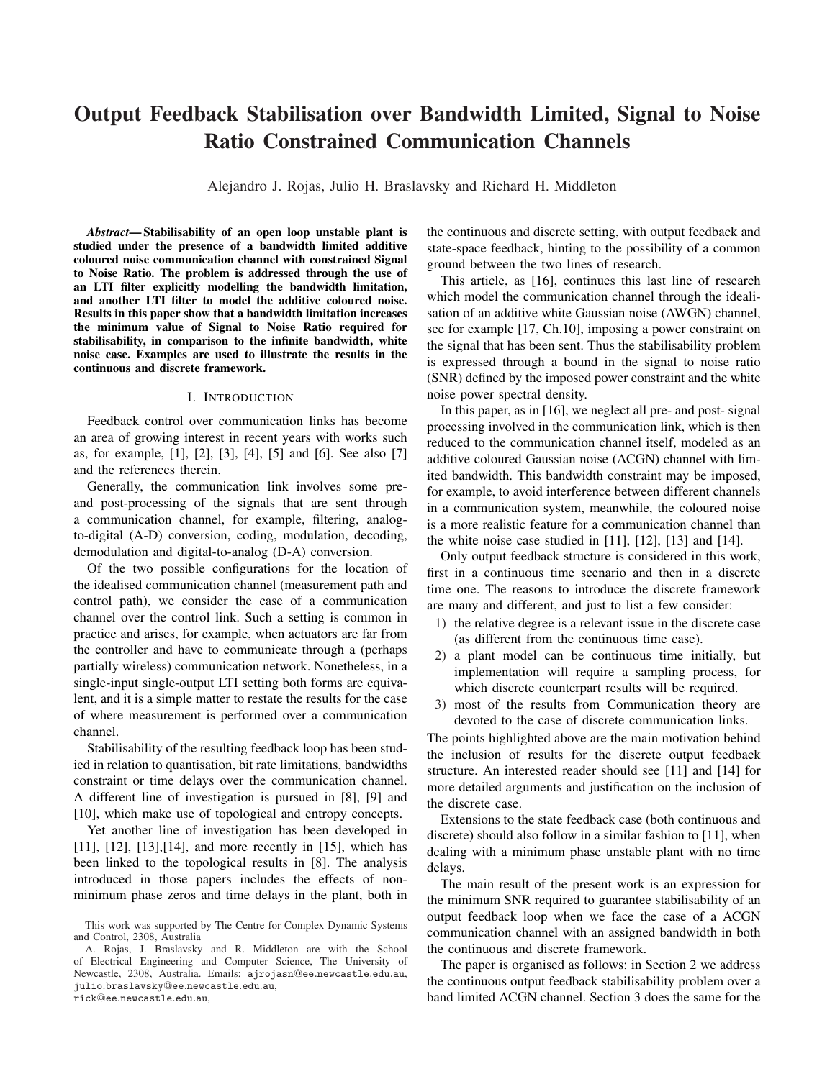# Output Feedback Stabilisation over Bandwidth Limited, Signal to Noise Ratio Constrained Communication Channels

Alejandro J. Rojas, Julio H. Braslavsky and Richard H. Middleton

*Abstract*— Stabilisability of an open loop unstable plant is studied under the presence of a bandwidth limited additive coloured noise communication channel with constrained Signal to Noise Ratio. The problem is addressed through the use of an LTI filter explicitly modelling the bandwidth limitation, and another LTI filter to model the additive coloured noise. Results in this paper show that a bandwidth limitation increases the minimum value of Signal to Noise Ratio required for stabilisability, in comparison to the infinite bandwidth, white noise case. Examples are used to illustrate the results in the continuous and discrete framework.

## I. INTRODUCTION

Feedback control over communication links has become an area of growing interest in recent years with works such as, for example, [1], [2], [3], [4], [5] and [6]. See also [7] and the references therein.

Generally, the communication link involves some preand post-processing of the signals that are sent through a communication channel, for example, filtering, analogto-digital (A-D) conversion, coding, modulation, decoding, demodulation and digital-to-analog (D-A) conversion.

Of the two possible configurations for the location of the idealised communication channel (measurement path and control path), we consider the case of a communication channel over the control link. Such a setting is common in practice and arises, for example, when actuators are far from the controller and have to communicate through a (perhaps partially wireless) communication network. Nonetheless, in a single-input single-output LTI setting both forms are equivalent, and it is a simple matter to restate the results for the case of where measurement is performed over a communication channel.

Stabilisability of the resulting feedback loop has been studied in relation to quantisation, bit rate limitations, bandwidths constraint or time delays over the communication channel. A different line of investigation is pursued in [8], [9] and [10], which make use of topological and entropy concepts.

Yet another line of investigation has been developed in [11], [12], [13], [14], and more recently in [15], which has been linked to the topological results in [8]. The analysis introduced in those papers includes the effects of nonminimum phase zeros and time delays in the plant, both in

rick@ee.newcastle.edu.au,

the continuous and discrete setting, with output feedback and state-space feedback, hinting to the possibility of a common ground between the two lines of research.

This article, as [16], continues this last line of research which model the communication channel through the idealisation of an additive white Gaussian noise (AWGN) channel, see for example [17, Ch.10], imposing a power constraint on the signal that has been sent. Thus the stabilisability problem is expressed through a bound in the signal to noise ratio (SNR) defined by the imposed power constraint and the white noise power spectral density.

In this paper, as in [16], we neglect all pre- and post- signal processing involved in the communication link, which is then reduced to the communication channel itself, modeled as an additive coloured Gaussian noise (ACGN) channel with limited bandwidth. This bandwidth constraint may be imposed, for example, to avoid interference between different channels in a communication system, meanwhile, the coloured noise is a more realistic feature for a communication channel than the white noise case studied in [11], [12], [13] and [14].

Only output feedback structure is considered in this work, first in a continuous time scenario and then in a discrete time one. The reasons to introduce the discrete framework are many and different, and just to list a few consider:

- 1) the relative degree is a relevant issue in the discrete case (as different from the continuous time case).
- 2) a plant model can be continuous time initially, but implementation will require a sampling process, for which discrete counterpart results will be required.
- 3) most of the results from Communication theory are devoted to the case of discrete communication links.

The points highlighted above are the main motivation behind the inclusion of results for the discrete output feedback structure. An interested reader should see [11] and [14] for more detailed arguments and justification on the inclusion of the discrete case.

Extensions to the state feedback case (both continuous and discrete) should also follow in a similar fashion to [11], when dealing with a minimum phase unstable plant with no time delays.

The main result of the present work is an expression for the minimum SNR required to guarantee stabilisability of an output feedback loop when we face the case of a ACGN communication channel with an assigned bandwidth in both the continuous and discrete framework.

The paper is organised as follows: in Section 2 we address the continuous output feedback stabilisability problem over a band limited ACGN channel. Section 3 does the same for the

This work was supported by The Centre for Complex Dynamic Systems and Control, 2308, Australia

A. Rojas, J. Braslavsky and R. Middleton are with the School of Electrical Engineering and Computer Science, The University of Newcastle, 2308, Australia. Emails: ajrojasn@ee.newcastle.edu.au, julio.braslavsky@ee.newcastle.edu.au,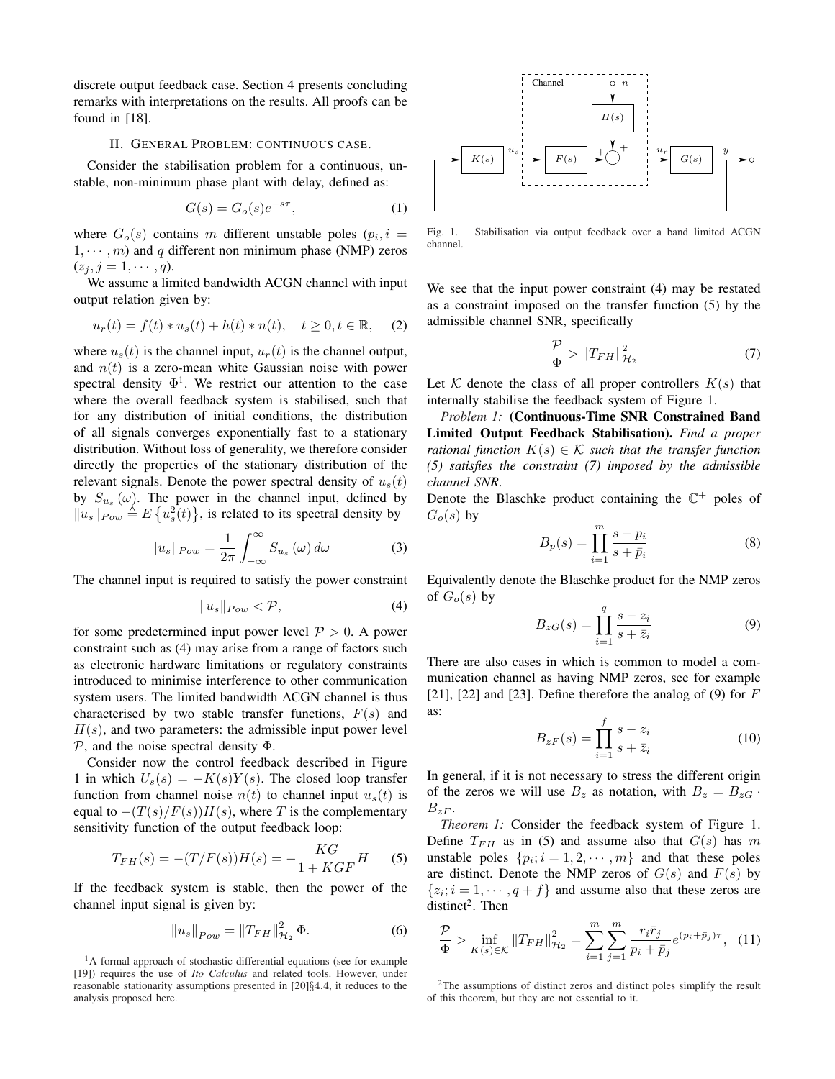discrete output feedback case. Section 4 presents concluding remarks with interpretations on the results. All proofs can be found in [18].

### II. GENERAL PROBLEM: CONTINUOUS CASE.

Consider the stabilisation problem for a continuous, unstable, non-minimum phase plant with delay, defined as:

$$
G(s) = G_o(s)e^{-s\tau},\tag{1}
$$

where  $G_o(s)$  contains m different unstable poles  $(p_i, i =$  $1, \dots, m$ ) and q different non minimum phase (NMP) zeros  $(z_j, j = 1, \cdots, q).$ 

We assume a limited bandwidth ACGN channel with input output relation given by:

$$
u_r(t) = f(t) * u_s(t) + h(t) * n(t), \quad t \ge 0, t \in \mathbb{R}, \quad (2)
$$

where  $u_s(t)$  is the channel input,  $u_r(t)$  is the channel output, and  $n(t)$  is a zero-mean white Gaussian noise with power spectral density  $\Phi^1$ . We restrict our attention to the case where the overall feedback system is stabilised, such that for any distribution of initial conditions, the distribution of all signals converges exponentially fast to a stationary distribution. Without loss of generality, we therefore consider directly the properties of the stationary distribution of the relevant signals. Denote the power spectral density of  $u_s(t)$ by  $S_{u_s}(\omega)$ . The power in the channel input, defined by  $||u_s||_{Pow} \triangleq E\{u_s^2(t)\}\$ , is related to its spectral density by

$$
||u_s||_{Pow} = \frac{1}{2\pi} \int_{-\infty}^{\infty} S_{u_s}(\omega) d\omega
$$
 (3)

The channel input is required to satisfy the power constraint

$$
||u_s||_{Pow} < \mathcal{P},\tag{4}
$$

for some predetermined input power level  $P > 0$ . A power constraint such as (4) may arise from a range of factors such as electronic hardware limitations or regulatory constraints introduced to minimise interference to other communication system users. The limited bandwidth ACGN channel is thus characterised by two stable transfer functions,  $F(s)$  and  $H(s)$ , and two parameters: the admissible input power level  $P$ , and the noise spectral density  $\Phi$ .

Consider now the control feedback described in Figure 1 in which  $U_s(s) = -K(s)Y(s)$ . The closed loop transfer function from channel noise  $n(t)$  to channel input  $u_s(t)$  is equal to  $-(T(s)/F(s))H(s)$ , where T is the complementary sensitivity function of the output feedback loop:

$$
T_{FH}(s) = -(T/F(s))H(s) = -\frac{KG}{1+KGF}H
$$
 (5)

If the feedback system is stable, then the power of the channel input signal is given by:

$$
||u_s||_{Pow} = ||T_{FH}||_{\mathcal{H}_2}^2 \Phi.
$$
 (6)



Fig. 1. Stabilisation via output feedback over a band limited ACGN channel.

We see that the input power constraint (4) may be restated as a constraint imposed on the transfer function (5) by the admissible channel SNR, specifically

$$
\frac{\mathcal{P}}{\Phi} > \|T_{FH}\|_{\mathcal{H}_2}^2 \tag{7}
$$

Let K denote the class of all proper controllers  $K(s)$  that internally stabilise the feedback system of Figure 1.

*Problem 1:* (Continuous-Time SNR Constrained Band Limited Output Feedback Stabilisation). *Find a proper rational function*  $K(s) \in \mathcal{K}$  *such that the transfer function (5) satisfies the constraint (7) imposed by the admissible channel SNR*.

Denote the Blaschke product containing the  $\mathbb{C}^+$  poles of  $G<sub>o</sub>(s)$  by

$$
B_p(s) = \prod_{i=1}^m \frac{s - p_i}{s + \bar{p}_i} \tag{8}
$$

Equivalently denote the Blaschke product for the NMP zeros of  $G_{\alpha}(s)$  by

$$
B_{zG}(s) = \prod_{i=1}^{q} \frac{s - z_i}{s + \bar{z}_i}
$$
 (9)

There are also cases in which is common to model a communication channel as having NMP zeros, see for example [21], [22] and [23]. Define therefore the analog of  $(9)$  for  $F$ as:

$$
B_{zF}(s) = \prod_{i=1}^{f} \frac{s - z_i}{s + \bar{z}_i}
$$
 (10)

In general, if it is not necessary to stress the different origin of the zeros we will use  $B_z$  as notation, with  $B_z = B_{zG}$ .  $B_{zF}$ .

*Theorem 1:* Consider the feedback system of Figure 1. Define  $T_{FH}$  as in (5) and assume also that  $G(s)$  has m unstable poles  $\{p_i; i = 1, 2, \cdots, m\}$  and that these poles are distinct. Denote the NMP zeros of  $G(s)$  and  $F(s)$  by  $\{z_i; i = 1, \dots, q + f\}$  and assume also that these zeros are distinct<sup>2</sup>. Then

$$
\frac{\mathcal{P}}{\Phi} > \inf_{K(s)\in\mathcal{K}} \|T_{FH}\|_{\mathcal{H}_2}^2 = \sum_{i=1}^m \sum_{j=1}^m \frac{r_i \bar{r}_j}{p_i + \bar{p}_j} e^{(p_i + \bar{p}_j)\tau}, \quad (11)
$$

<sup>&</sup>lt;sup>1</sup>A formal approach of stochastic differential equations (see for example [19]) requires the use of *Ito Calculus* and related tools. However, under reasonable stationarity assumptions presented in [20]§4.4, it reduces to the analysis proposed here.

<sup>2</sup>The assumptions of distinct zeros and distinct poles simplify the result of this theorem, but they are not essential to it.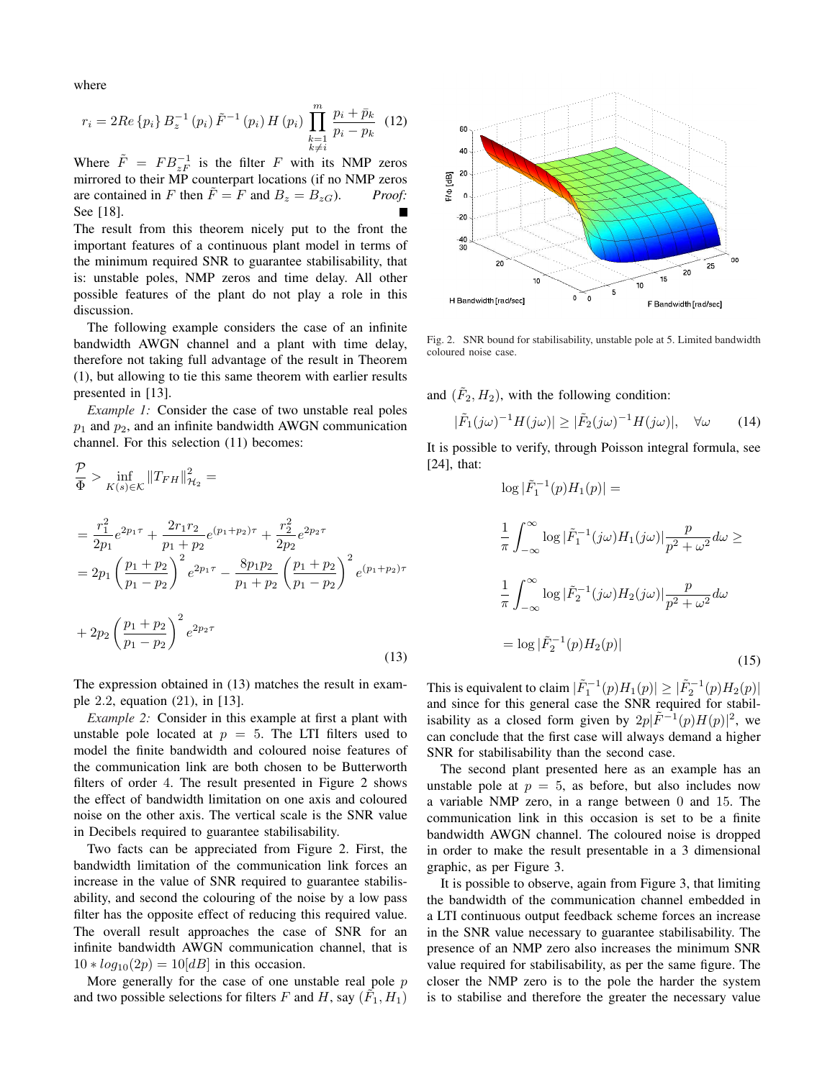where

$$
r_{i} = 2Re\{p_{i}\} B_{z}^{-1}(p_{i}) \tilde{F}^{-1}(p_{i}) H(p_{i}) \prod_{\substack{k=1 \ k \neq i}}^{m} \frac{p_{i} + \bar{p}_{k}}{p_{i} - p_{k}} (12)
$$

Where  $\tilde{F} = FB_{zF}^{-1}$  is the filter F with its NMP zeros mirrored to their MP counterpart locations (if no NMP zeros are contained in F then  $\tilde{F} = F$  and  $B_z = B_{zG}$ ). *Proof:* See [18].

The result from this theorem nicely put to the front the important features of a continuous plant model in terms of the minimum required SNR to guarantee stabilisability, that is: unstable poles, NMP zeros and time delay. All other possible features of the plant do not play a role in this discussion.

The following example considers the case of an infinite bandwidth AWGN channel and a plant with time delay, therefore not taking full advantage of the result in Theorem (1), but allowing to tie this same theorem with earlier results presented in [13].

*Example 1:* Consider the case of two unstable real poles  $p_1$  and  $p_2$ , and an infinite bandwidth AWGN communication channel. For this selection (11) becomes:

$$
\frac{\mathcal{P}}{\Phi} > \inf_{K(s)\in\mathcal{K}} \|T_{FH}\|_{\mathcal{H}_2}^2 =
$$
\n
$$
= \frac{r_1^2}{2p_1} e^{2p_1\tau} + \frac{2r_1r_2}{p_1 + p_2} e^{(p_1+p_2)\tau} + \frac{r_2^2}{2p_2} e^{2p_2\tau}
$$
\n
$$
= 2p_1 \left(\frac{p_1+p_2}{p_1 - p_2}\right)^2 e^{2p_1\tau} - \frac{8p_1p_2}{p_1 + p_2} \left(\frac{p_1+p_2}{p_1 - p_2}\right)^2 e^{(p_1+p_2)\tau}
$$
\n
$$
+ 2p_2 \left(\frac{p_1+p_2}{p_1 - p_2}\right)^2 e^{2p_2\tau}
$$
\n(13)

The expression obtained in (13) matches the result in example 2.2, equation (21), in [13].

*Example 2:* Consider in this example at first a plant with unstable pole located at  $p = 5$ . The LTI filters used to model the finite bandwidth and coloured noise features of the communication link are both chosen to be Butterworth filters of order 4. The result presented in Figure 2 shows the effect of bandwidth limitation on one axis and coloured noise on the other axis. The vertical scale is the SNR value in Decibels required to guarantee stabilisability.

Two facts can be appreciated from Figure 2. First, the bandwidth limitation of the communication link forces an increase in the value of SNR required to guarantee stabilisability, and second the colouring of the noise by a low pass filter has the opposite effect of reducing this required value. The overall result approaches the case of SNR for an infinite bandwidth AWGN communication channel, that is  $10 * log_{10}(2p) = 10[dB]$  in this occasion.

More generally for the case of one unstable real pole  $p$ and two possible selections for filters F and H, say  $(\tilde{F}_1, H_1)$ 



Fig. 2. SNR bound for stabilisability, unstable pole at 5. Limited bandwidth coloured noise case.

and  $(\tilde{F}_2, H_2)$ , with the following condition:

$$
|\tilde{F}_1(j\omega)^{-1}H(j\omega)| \ge |\tilde{F}_2(j\omega)^{-1}H(j\omega)|, \quad \forall \omega \qquad (14)
$$

It is possible to verify, through Poisson integral formula, see [24], that:

$$
\log |\tilde{F}_1^{-1}(p)H_1(p)| =
$$
  
\n
$$
\frac{1}{\pi} \int_{-\infty}^{\infty} \log |\tilde{F}_1^{-1}(j\omega)H_1(j\omega)| \frac{p}{p^2 + \omega^2} d\omega \ge
$$
  
\n
$$
\frac{1}{\pi} \int_{-\infty}^{\infty} \log |\tilde{F}_2^{-1}(j\omega)H_2(j\omega)| \frac{p}{p^2 + \omega^2} d\omega
$$
  
\n
$$
= \log |\tilde{F}_2^{-1}(p)H_2(p)| \qquad (15)
$$

This is equivalent to claim  $|\tilde{F}_1^{-1}(p)H_1(p)| \geq |\tilde{F}_2^{-1}(p)H_2(p)|$ and since for this general case the SNR required for stabilisability as a closed form given by  $2p|\tilde{F}^{-1}(p)H(p)|^2$ , we can conclude that the first case will always demand a higher SNR for stabilisability than the second case.

The second plant presented here as an example has an unstable pole at  $p = 5$ , as before, but also includes now a variable NMP zero, in a range between 0 and 15. The communication link in this occasion is set to be a finite bandwidth AWGN channel. The coloured noise is dropped in order to make the result presentable in a 3 dimensional graphic, as per Figure 3.

It is possible to observe, again from Figure 3, that limiting the bandwidth of the communication channel embedded in a LTI continuous output feedback scheme forces an increase in the SNR value necessary to guarantee stabilisability. The presence of an NMP zero also increases the minimum SNR value required for stabilisability, as per the same figure. The closer the NMP zero is to the pole the harder the system is to stabilise and therefore the greater the necessary value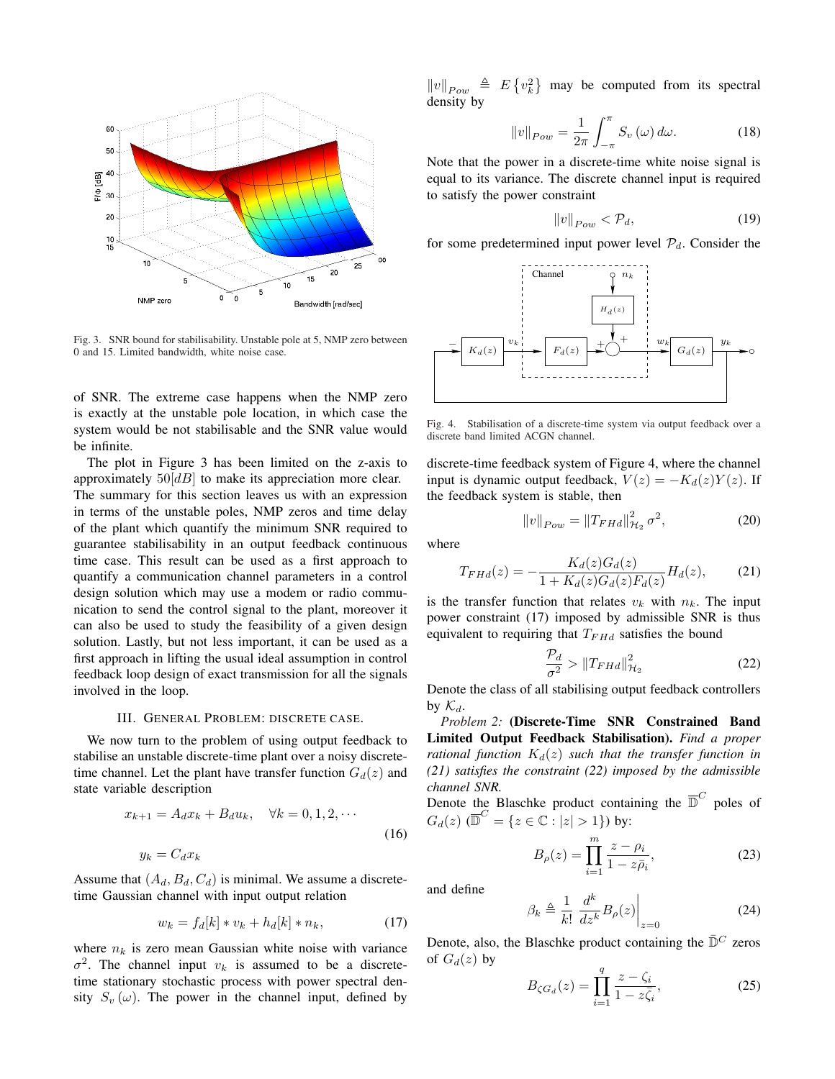

Fig. 3. SNR bound for stabilisability. Unstable pole at 5, NMP zero between 0 and 15. Limited bandwidth, white noise case.

of SNR. The extreme case happens when the NMP zero is exactly at the unstable pole location, in which case the system would be not stabilisable and the SNR value would be infinite.

The plot in Figure 3 has been limited on the z-axis to approximately  $50[dB]$  to make its appreciation more clear. The summary for this section leaves us with an expression in terms of the unstable poles, NMP zeros and time delay of the plant which quantify the minimum SNR required to guarantee stabilisability in an output feedback continuous time case. This result can be used as a first approach to quantify a communication channel parameters in a control design solution which may use a modem or radio communication to send the control signal to the plant, moreover it can also be used to study the feasibility of a given design solution. Lastly, but not less important, it can be used as a first approach in lifting the usual ideal assumption in control feedback loop design of exact transmission for all the signals involved in the loop.

#### III. GENERAL PROBLEM: DISCRETE CASE.

We now turn to the problem of using output feedback to stabilise an unstable discrete-time plant over a noisy discretetime channel. Let the plant have transfer function  $G_d(z)$  and state variable description

$$
x_{k+1} = A_d x_k + B_d u_k, \quad \forall k = 0, 1, 2, \cdots
$$
  

$$
y_k = C_d x_k
$$
 (16)

Assume that  $(A_d, B_d, C_d)$  is minimal. We assume a discretetime Gaussian channel with input output relation

$$
w_k = f_d[k] * v_k + h_d[k] * n_k,
$$
 (17)

where  $n_k$  is zero mean Gaussian white noise with variance  $\sigma^2$ . The channel input  $v_k$  is assumed to be a discretetime stationary stochastic process with power spectral density  $S_v(\omega)$ . The power in the channel input, defined by

 $||v||_{Pow}$   $\triangleq$  E ©  $v_k^2$ ª may be computed from its spectral density by

$$
||v||_{Pow} = \frac{1}{2\pi} \int_{-\pi}^{\pi} S_v(\omega) d\omega.
$$
 (18)

Note that the power in a discrete-time white noise signal is equal to its variance. The discrete channel input is required to satisfy the power constraint

$$
||v||_{Pow} < \mathcal{P}_d,\tag{19}
$$

for some predetermined input power level  $P_d$ . Consider the



Fig. 4. Stabilisation of a discrete-time system via output feedback over a discrete band limited ACGN channel.

discrete-time feedback system of Figure 4, where the channel input is dynamic output feedback,  $V(z) = -K_d(z)Y(z)$ . If the feedback system is stable, then

$$
||v||_{Pow} = ||T_{FHd}||_{\mathcal{H}_2}^2 \sigma^2,
$$
\n(20)

where

$$
T_{FHd}(z) = -\frac{K_d(z)G_d(z)}{1 + K_d(z)G_d(z)F_d(z)}H_d(z),
$$
 (21)

is the transfer function that relates  $v_k$  with  $n_k$ . The input power constraint (17) imposed by admissible SNR is thus equivalent to requiring that  $T_{FHd}$  satisfies the bound

$$
\frac{\mathcal{P}_d}{\sigma^2} > \|T_{FHd}\|_{\mathcal{H}_2}^2 \tag{22}
$$

Denote the class of all stabilising output feedback controllers by  $\mathcal{K}_d$ .

*Problem 2:* (Discrete-Time SNR Constrained Band Limited Output Feedback Stabilisation). *Find a proper rational function*  $K_d(z)$  *such that the transfer function in (21) satisfies the constraint (22) imposed by the admissible channel SNR.*

Denote the Blaschke product containing the  $\overline{D}^C$  poles of  $G_d(z)$  ( $\overline{\mathbb{D}}^C = \{z \in \mathbb{C} : |z| > 1\}$ ) by:

$$
B_{\rho}(z) = \prod_{i=1}^{m} \frac{z - \rho_i}{1 - z\bar{\rho}_i},
$$
\n(23)

and define

$$
\beta_k \triangleq \frac{1}{k!} \left. \frac{d^k}{dz^k} B_\rho(z) \right|_{z=0} \tag{24}
$$

Denote, also, the Blaschke product containing the  $\bar{D}^C$  zeros of  $G_d(z)$  by

$$
B_{\zeta G_d}(z) = \prod_{i=1}^q \frac{z - \zeta_i}{1 - z\bar{\zeta}_i},
$$
 (25)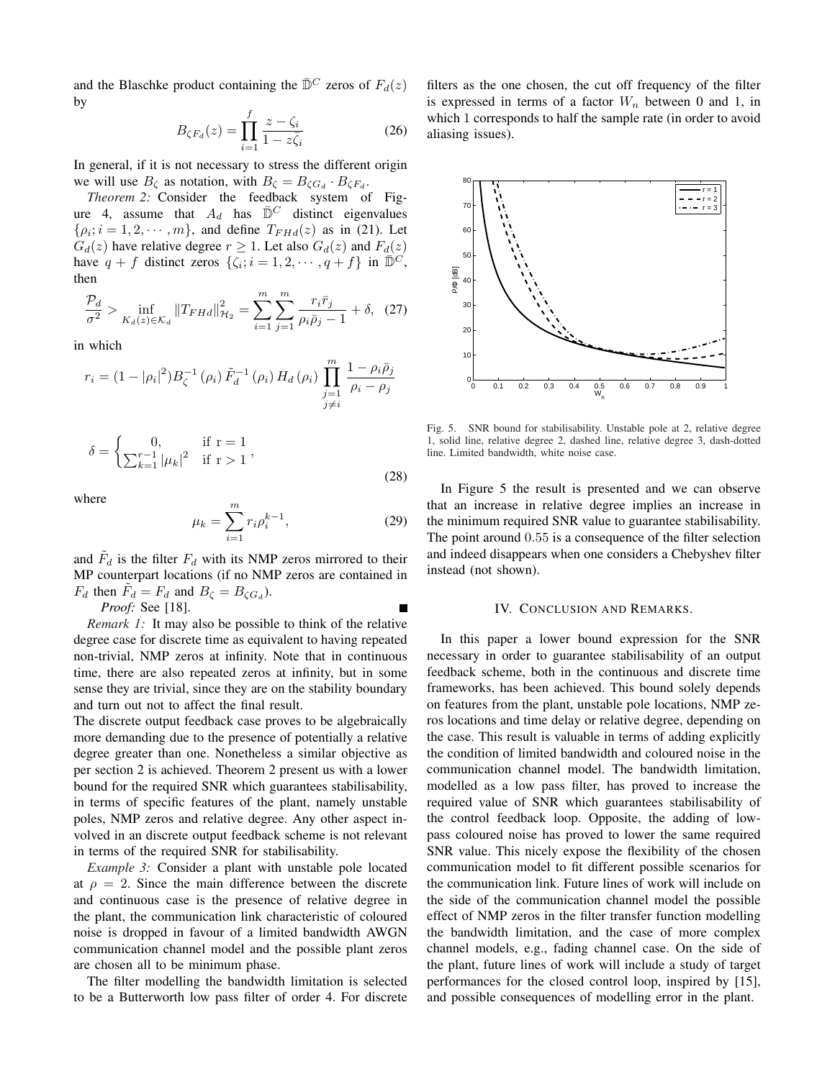and the Blaschke product containing the  $\bar{D}^C$  zeros of  $F_d(z)$ by

$$
B_{\zeta F_d}(z) = \prod_{i=1}^f \frac{z - \zeta_i}{1 - z\bar{\zeta}_i}
$$
 (26)

In general, if it is not necessary to stress the different origin we will use  $B_{\zeta}$  as notation, with  $B_{\zeta} = B_{\zeta G_d} \cdot B_{\zeta F_d}$ .

*Theorem 2:* Consider the feedback system of Figure 4, assume that  $A_d$  has  $\overline{D}^C$  distinct eigenvalues  $\{\rho_i; i = 1, 2, \cdots, m\}$ , and define  $T_{FHd}(z)$  as in (21). Let  $G_d(z)$  have relative degree  $r \geq 1$ . Let also  $G_d(z)$  and  $F_d(z)$ have  $q + f$  distinct zeros  $\{\zeta_i; i = 1, 2, \cdots, q + f\}$  in  $\overline{\mathbb{D}}^C$ , then

$$
\frac{\mathcal{P}_d}{\sigma^2} > \inf_{K_d(z) \in \mathcal{K}_d} ||T_{FHd}||_{\mathcal{H}_2}^2 = \sum_{i=1}^m \sum_{j=1}^m \frac{r_i \bar{r}_j}{\rho_i \bar{\rho}_j - 1} + \delta, \tag{27}
$$

in which

$$
r_i = (1 - |\rho_i|^2) B_{\zeta}^{-1} (\rho_i) \tilde{F}_d^{-1} (\rho_i) H_d (\rho_i) \prod_{\substack{j=1 \ j \neq i}}^m \frac{1 - \rho_i \bar{\rho}_j}{\rho_i - \rho_j}
$$

$$
\delta = \begin{cases} 0, & \text{if } r = 1 \\ \sum_{k=1}^{r-1} |\mu_k|^2 & \text{if } r > 1 \end{cases},
$$
\n(28)

where

$$
\mu_k = \sum_{i=1}^{m} r_i \rho_i^{k-1},\tag{29}
$$

and  $\tilde{F}_d$  is the filter  $F_d$  with its NMP zeros mirrored to their MP counterpart locations (if no NMP zeros are contained in  $F_d$  then  $\tilde{F}_d = F_d$  and  $B_\zeta = B_{\zeta G_d}$ ).

*Proof:* See [18]. *Remark 1:* It may also be possible to think of the relative

degree case for discrete time as equivalent to having repeated non-trivial, NMP zeros at infinity. Note that in continuous time, there are also repeated zeros at infinity, but in some sense they are trivial, since they are on the stability boundary and turn out not to affect the final result.

The discrete output feedback case proves to be algebraically more demanding due to the presence of potentially a relative degree greater than one. Nonetheless a similar objective as per section 2 is achieved. Theorem 2 present us with a lower bound for the required SNR which guarantees stabilisability, in terms of specific features of the plant, namely unstable poles, NMP zeros and relative degree. Any other aspect involved in an discrete output feedback scheme is not relevant in terms of the required SNR for stabilisability.

*Example 3:* Consider a plant with unstable pole located at  $\rho = 2$ . Since the main difference between the discrete and continuous case is the presence of relative degree in the plant, the communication link characteristic of coloured noise is dropped in favour of a limited bandwidth AWGN communication channel model and the possible plant zeros are chosen all to be minimum phase.

The filter modelling the bandwidth limitation is selected to be a Butterworth low pass filter of order 4. For discrete filters as the one chosen, the cut off frequency of the filter is expressed in terms of a factor  $W_n$  between 0 and 1, in which 1 corresponds to half the sample rate (in order to avoid aliasing issues).



Fig. 5. SNR bound for stabilisability. Unstable pole at 2, relative degree 1, solid line, relative degree 2, dashed line, relative degree 3, dash-dotted line. Limited bandwidth, white noise case.

In Figure 5 the result is presented and we can observe that an increase in relative degree implies an increase in the minimum required SNR value to guarantee stabilisability. The point around 0.55 is a consequence of the filter selection and indeed disappears when one considers a Chebyshev filter instead (not shown).

## IV. CONCLUSION AND REMARKS.

In this paper a lower bound expression for the SNR necessary in order to guarantee stabilisability of an output feedback scheme, both in the continuous and discrete time frameworks, has been achieved. This bound solely depends on features from the plant, unstable pole locations, NMP zeros locations and time delay or relative degree, depending on the case. This result is valuable in terms of adding explicitly the condition of limited bandwidth and coloured noise in the communication channel model. The bandwidth limitation, modelled as a low pass filter, has proved to increase the required value of SNR which guarantees stabilisability of the control feedback loop. Opposite, the adding of lowpass coloured noise has proved to lower the same required SNR value. This nicely expose the flexibility of the chosen communication model to fit different possible scenarios for the communication link. Future lines of work will include on the side of the communication channel model the possible effect of NMP zeros in the filter transfer function modelling the bandwidth limitation, and the case of more complex channel models, e.g., fading channel case. On the side of the plant, future lines of work will include a study of target performances for the closed control loop, inspired by [15], and possible consequences of modelling error in the plant.